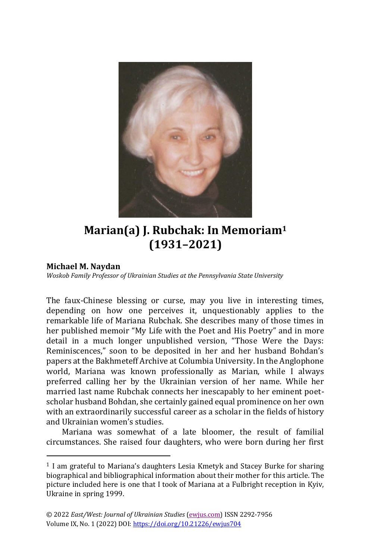

## **Marian(a) J. Rubchak: In Memoriam<sup>1</sup> (1931–2021)**

## **Michael M. Naydan**

*Woskob Family Professor of Ukrainian Studies at the Pennsylvania State University*

The faux-Chinese blessing or curse, may you live in interesting times, depending on how one perceives it, unquestionably applies to the remarkable life of Mariana Rubchak. She describes many of those times in her published memoir "My Life with the Poet and His Poetry" and in more detail in a much longer unpublished version, "Those Were the Days: Reminiscences," soon to be deposited in her and her husband Bohdan's papers at the Bakhmeteff Archive at Columbia University. In the Anglophone world, Mariana was known professionally as Marian, while I always preferred calling her by the Ukrainian version of her name. While her married last name Rubchak connects her inescapably to her eminent poetscholar husband Bohdan, she certainly gained equal prominence on her own with an extraordinarily successful career as a scholar in the fields of history and Ukrainian women's studies.

Mariana was somewhat of a late bloomer, the result of familial circumstances. She raised four daughters, who were born during her first

 $1$  I am grateful to Mariana's daughters Lesia Kmetyk and Stacey Burke for sharing biographical and bibliographical information about their mother for this article. The picture included here is one that I took of Mariana at a Fulbright reception in Kyiv, Ukraine in spring 1999.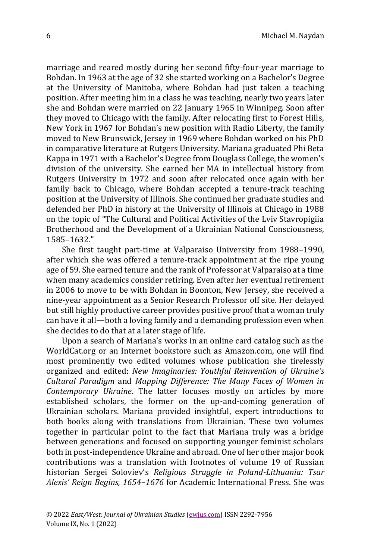marriage and reared mostly during her second fifty-four-year marriage to Bohdan. In 1963 at the age of 32 she started working on a Bachelor's Degree at the University of Manitoba, where Bohdan had just taken a teaching position. After meeting him in a class he was teaching, nearly two years later she and Bohdan were married on 22 January 1965 in Winnipeg. Soon after they moved to Chicago with the family. After relocating first to Forest Hills, New York in 1967 for Bohdan's new position with Radio Liberty, the family moved to New Brunswick, Jersey in 1969 where Bohdan worked on his PhD in comparative literature at Rutgers University. Mariana graduated Phi Beta Kappa in 1971 with a Bachelor's Degree from Douglass College, the women's division of the university. She earned her MA in intellectual history from Rutgers University in 1972 and soon after relocated once again with her family back to Chicago, where Bohdan accepted a tenure-track teaching position at the University of Illinois. She continued her graduate studies and defended her PhD in history at the University of Illinois at Chicago in 1988 on the topic of "The Cultural and Political Activities of the Lviv Stavropigiia Brotherhood and the Development of a Ukrainian National Consciousness, 1585–1632."

She first taught part-time at Valparaiso University from 1988–1990, after which she was offered a tenure-track appointment at the ripe young age of 59. She earned tenure and the rank of Professor at Valparaiso at a time when many academics consider retiring. Even after her eventual retirement in 2006 to move to be with Bohdan in Boonton, New Jersey, she received a nine-year appointment as a Senior Research Professor off site. Her delayed but still highly productive career provides positive proof that a woman truly can have it all—both a loving family and a demanding profession even when she decides to do that at a later stage of life.

Upon a search of Mariana's works in an online card catalog such as the WorldCat.org or an Internet bookstore such as Amazon.com, one will find most prominently two edited volumes whose publication she tirelessly organized and edited: *New Imaginaries: Youthful Reinvention of Ukraine's Cultural Paradigm* and *Mapping Difference: The Many Faces of Women in Contemporary Ukraine*. The latter focuses mostly on articles by more established scholars, the former on the up-and-coming generation of Ukrainian scholars. Mariana provided insightful, expert introductions to both books along with translations from Ukrainian. These two volumes together in particular point to the fact that Mariana truly was a bridge between generations and focused on supporting younger feminist scholars both in post-independence Ukraine and abroad. One of her other major book contributions was a translation with footnotes of volume 19 of Russian historian Sergei Soloviev's *Religious Struggle in Poland-Lithuania: Tsar Alexis' Reign Begins, 1654–1676* for Academic International Press. She was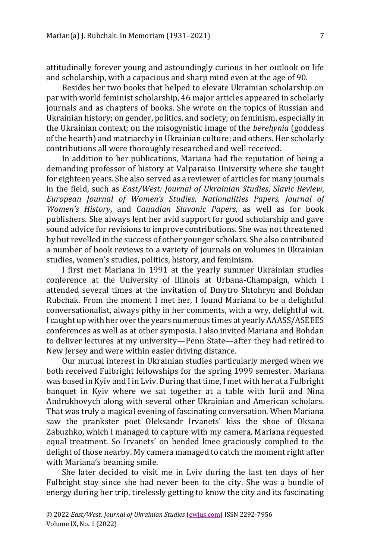attitudinally forever young and astoundingly curious in her outlook on life and scholarship, with a capacious and sharp mind even at the age of 90.

Besides her two books that helped to elevate Ukrainian scholarship on par with world feminist scholarship, 46 major articles appeared in scholarly journals and as chapters of books. She wrote on the topics of Russian and Ukrainian history; on gender, politics, and society; on feminism, especially in the Ukrainian context; on the misogynistic image of the *berehynia* (goddess of the hearth) and matriarchy in Ukrainian culture; and others. Her scholarly contributions all were thoroughly researched and well received.

In addition to her publications, Mariana had the reputation of being a demanding professor of history at Valparaiso University where she taught for eighteen years. She also served as a reviewer of articles for many journals in the field, such as *East/West: Journal of Ukrainian Studies*, *Slavic Review*, *European Journal of Women's Studies*, *Nationalities Papers, Journal of Women's History*, and *Canadian Slavonic Papers*, as well as for book publishers. She always lent her avid support for good scholarship and gave sound advice for revisions to improve contributions. She was not threatened by but revelled in the success of other younger scholars. She also contributed a number of book reviews to a variety of journals on volumes in Ukrainian studies, women's studies, politics, history, and feminism.

I first met Mariana in 1991 at the yearly summer Ukrainian studies conference at the University of Illinois at Urbana-Champaign, which I attended several times at the invitation of Dmytro Shtohryn and Bohdan Rubchak. From the moment I met her, I found Mariana to be a delightful conversationalist, always pithy in her comments, with a wry, delightful wit. I caught up with her over the years numerous times at yearly AAASS/ASEEES conferences as well as at other symposia. I also invited Mariana and Bohdan to deliver lectures at my university—Penn State—after they had retired to New Jersey and were within easier driving distance.

Our mutual interest in Ukrainian studies particularly merged when we both received Fulbright fellowships for the spring 1999 semester. Mariana was based in Kyiv and I in Lviv. During that time, I met with her at a Fulbright banquet in Kyiv where we sat together at a table with Iurii and Nina Andrukhovych along with several other Ukrainian and American scholars. That was truly a magical evening of fascinating conversation. When Mariana saw the prankster poet Oleksandr Irvanets' kiss the shoe of Oksana Zabuzhko, which I managed to capture with my camera, Mariana requested equal treatment. So Irvanets' on bended knee graciously complied to the delight of those nearby. My camera managed to catch the moment right after with Mariana's beaming smile.

She later decided to visit me in Lviv during the last ten days of her Fulbright stay since she had never been to the city. She was a bundle of energy during her trip, tirelessly getting to know the city and its fascinating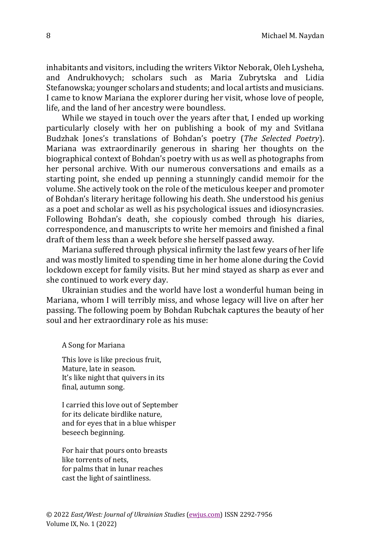inhabitants and visitors, including the writers Viktor Neborak, Oleh Lysheha, and Andrukhovych; scholars such as Maria Zubrytska and Lidia Stefanowska; younger scholars and students; and local artists and musicians. I came to know Mariana the explorer during her visit, whose love of people, life, and the land of her ancestry were boundless.

While we stayed in touch over the years after that, I ended up working particularly closely with her on publishing a book of my and Svitlana Budzhak Jones's translations of Bohdan's poetry (*The Selected Poetry*). Mariana was extraordinarily generous in sharing her thoughts on the biographical context of Bohdan's poetry with us as well as photographs from her personal archive. With our numerous conversations and emails as a starting point, she ended up penning a stunningly candid memoir for the volume. She actively took on the role of the meticulous keeper and promoter of Bohdan's literary heritage following his death. She understood his genius as a poet and scholar as well as his psychological issues and idiosyncrasies. Following Bohdan's death, she copiously combed through his diaries, correspondence, and manuscripts to write her memoirs and finished a final draft of them less than a week before she herself passed away.

Mariana suffered through physical infirmity the last few years of her life and was mostly limited to spending time in her home alone during the Covid lockdown except for family visits. But her mind stayed as sharp as ever and she continued to work every day.

Ukrainian studies and the world have lost a wonderful human being in Mariana, whom I will terribly miss, and whose legacy will live on after her passing. The following poem by Bohdan Rubchak captures the beauty of her soul and her extraordinary role as his muse:

A Song for Mariana

This love is like precious fruit, Mature, late in season. It's like night that quivers in its final, autumn song.

I carried this love out of September for its delicate birdlike nature, and for eyes that in a blue whisper beseech beginning.

For hair that pours onto breasts like torrents of nets, for palms that in lunar reaches cast the light of saintliness.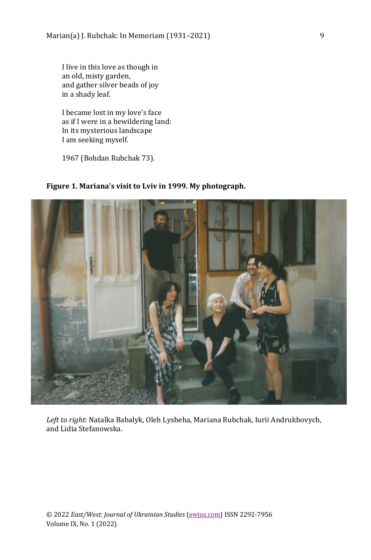I live in this love as though in an old, misty garden, and gather silver beads of joy in a shady leaf.

I became lost in my love's face as if I were in a bewildering land: In its mysterious landscape I am seeking myself.

1967 (Bohdan Rubchak 73).



## **Figure 1. Mariana's visit to Lviv in 1999. My photograph.**

*Left to right*: Natalka Babalyk, Oleh Lysheha, Mariana Rubchak, Iurii Andrukhovych, and Lidia Stefanowska.